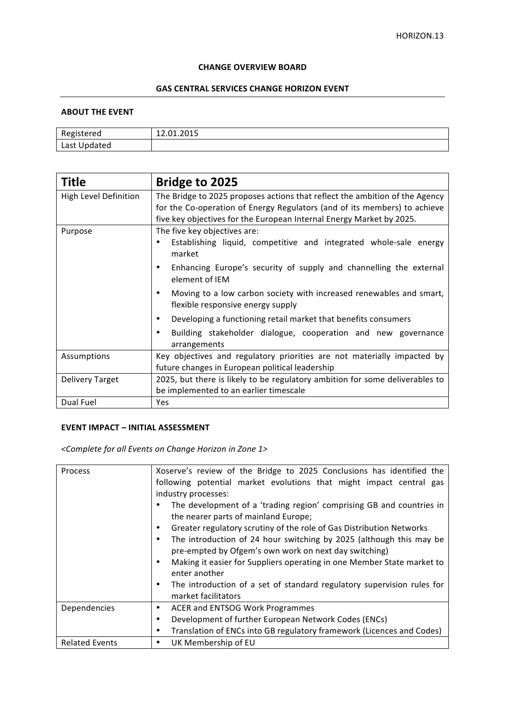#### **CHANGE OVERVIEW BOARD**

# **GAS CENTRAL SERVICES CHANGE HORIZON EVENT**

#### **ABOUT THE EVENT**

| ered<br>יס~יי             | ----<br>, 1. 2019<br>---<br>______ |
|---------------------------|------------------------------------|
| $\sim +1$<br>Last Updated |                                    |

| <b>Title</b>          | <b>Bridge to 2025</b>                                                                                                                                                                                                            |  |  |
|-----------------------|----------------------------------------------------------------------------------------------------------------------------------------------------------------------------------------------------------------------------------|--|--|
| High Level Definition | The Bridge to 2025 proposes actions that reflect the ambition of the Agency<br>for the Co-operation of Energy Regulators (and of its members) to achieve<br>five key objectives for the European Internal Energy Market by 2025. |  |  |
| Purpose               | The five key objectives are:<br>Establishing liquid, competitive and integrated whole-sale energy<br>٠<br>market                                                                                                                 |  |  |
|                       | Enhancing Europe's security of supply and channelling the external<br>٠<br>element of IEM                                                                                                                                        |  |  |
|                       | Moving to a low carbon society with increased renewables and smart,<br>٠<br>flexible responsive energy supply                                                                                                                    |  |  |
|                       | Developing a functioning retail market that benefits consumers<br>٠                                                                                                                                                              |  |  |
|                       | Building stakeholder dialogue, cooperation and new governance<br>arrangements                                                                                                                                                    |  |  |
| Assumptions           | Key objectives and regulatory priorities are not materially impacted by<br>future changes in European political leadership                                                                                                       |  |  |
| Delivery Target       | 2025, but there is likely to be regulatory ambition for some deliverables to<br>be implemented to an earlier timescale                                                                                                           |  |  |
| Dual Fuel             | <b>Yes</b>                                                                                                                                                                                                                       |  |  |

## **EVENT IMPACT - INITIAL ASSESSMENT**

*<Complete for all Events on Change Horizon in Zone 1>*

| Process               | Xoserve's review of the Bridge to 2025 Conclusions has identified the<br>following potential market evolutions that might impact central gas<br>industry processes:<br>The development of a 'trading region' comprising GB and countries in<br>the nearer parts of mainland Europe;<br>Greater regulatory scrutiny of the role of Gas Distribution Networks<br>٠<br>The introduction of 24 hour switching by 2025 (although this may be<br>٠<br>pre-empted by Ofgem's own work on next day switching)<br>Making it easier for Suppliers operating in one Member State market to<br>٠ |
|-----------------------|--------------------------------------------------------------------------------------------------------------------------------------------------------------------------------------------------------------------------------------------------------------------------------------------------------------------------------------------------------------------------------------------------------------------------------------------------------------------------------------------------------------------------------------------------------------------------------------|
|                       | enter another<br>The introduction of a set of standard regulatory supervision rules for<br>٠<br>market facilitators                                                                                                                                                                                                                                                                                                                                                                                                                                                                  |
| Dependencies          | <b>ACER and ENTSOG Work Programmes</b><br>٠                                                                                                                                                                                                                                                                                                                                                                                                                                                                                                                                          |
|                       | Development of further European Network Codes (ENCs)<br>٠                                                                                                                                                                                                                                                                                                                                                                                                                                                                                                                            |
|                       | Translation of ENCs into GB regulatory framework (Licences and Codes)<br>٠                                                                                                                                                                                                                                                                                                                                                                                                                                                                                                           |
| <b>Related Events</b> | UK Membership of EU<br>٠                                                                                                                                                                                                                                                                                                                                                                                                                                                                                                                                                             |